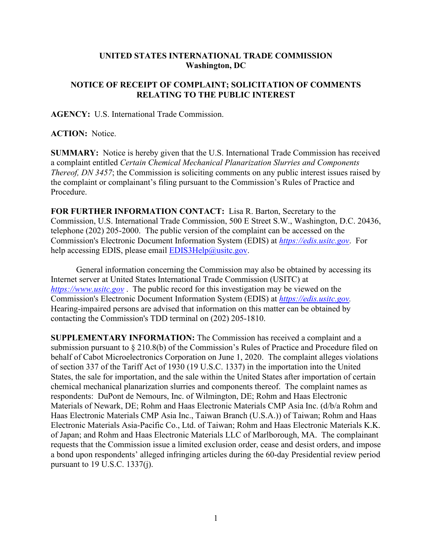## **UNITED STATES INTERNATIONAL TRADE COMMISSION Washington, DC**

## **NOTICE OF RECEIPT OF COMPLAINT; SOLICITATION OF COMMENTS RELATING TO THE PUBLIC INTEREST**

**AGENCY:** U.S. International Trade Commission.

**ACTION:** Notice.

**SUMMARY:** Notice is hereby given that the U.S. International Trade Commission has received a complaint entitled *Certain Chemical Mechanical Planarization Slurries and Components Thereof, DN 3457*; the Commission is soliciting comments on any public interest issues raised by the complaint or complainant's filing pursuant to the Commission's Rules of Practice and Procedure.

**FOR FURTHER INFORMATION CONTACT:** Lisa R. Barton, Secretary to the Commission, U.S. International Trade Commission, 500 E Street S.W., Washington, D.C. 20436, telephone (202) 205-2000. The public version of the complaint can be accessed on the Commission's Electronic Document Information System (EDIS) at *[https://edis.usitc.gov](https://edis.usitc.gov/)*. For help accessing EDIS, please email  $EDIS3Help@usite.gov$ .

General information concerning the Commission may also be obtained by accessing its Internet server at United States International Trade Commission (USITC) at *[https://www.usitc.gov](https://www.usitc.gov/)* . The public record for this investigation may be viewed on the Commission's Electronic Document Information System (EDIS) at *[https://edis.usitc.gov.](https://edis.usitc.gov/)* Hearing-impaired persons are advised that information on this matter can be obtained by contacting the Commission's TDD terminal on (202) 205-1810.

**SUPPLEMENTARY INFORMATION:** The Commission has received a complaint and a submission pursuant to § 210.8(b) of the Commission's Rules of Practice and Procedure filed on behalf of Cabot Microelectronics Corporation on June 1, 2020. The complaint alleges violations of section 337 of the Tariff Act of 1930 (19 U.S.C. 1337) in the importation into the United States, the sale for importation, and the sale within the United States after importation of certain chemical mechanical planarization slurries and components thereof. The complaint names as respondents: DuPont de Nemours, Inc. of Wilmington, DE; Rohm and Haas Electronic Materials of Newark, DE; Rohm and Haas Electronic Materials CMP Asia Inc. (d/b/a Rohm and Haas Electronic Materials CMP Asia Inc., Taiwan Branch (U.S.A.)) of Taiwan; Rohm and Haas Electronic Materials Asia-Pacific Co., Ltd. of Taiwan; Rohm and Haas Electronic Materials K.K. of Japan; and Rohm and Haas Electronic Materials LLC of Marlborough, MA. The complainant requests that the Commission issue a limited exclusion order, cease and desist orders, and impose a bond upon respondents' alleged infringing articles during the 60-day Presidential review period pursuant to 19 U.S.C. 1337(j).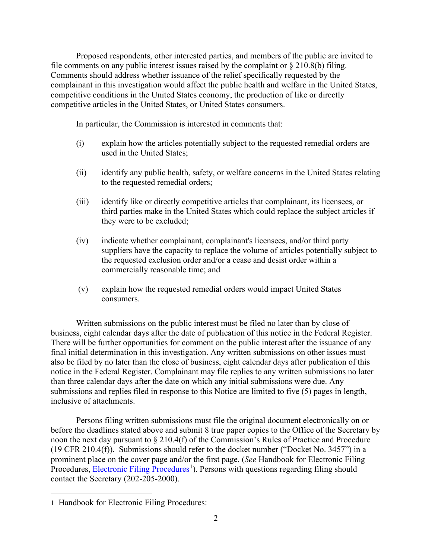Proposed respondents, other interested parties, and members of the public are invited to file comments on any public interest issues raised by the complaint or  $\S 210.8(b)$  filing. Comments should address whether issuance of the relief specifically requested by the complainant in this investigation would affect the public health and welfare in the United States, competitive conditions in the United States economy, the production of like or directly competitive articles in the United States, or United States consumers.

In particular, the Commission is interested in comments that:

- (i) explain how the articles potentially subject to the requested remedial orders are used in the United States;
- (ii) identify any public health, safety, or welfare concerns in the United States relating to the requested remedial orders;
- (iii) identify like or directly competitive articles that complainant, its licensees, or third parties make in the United States which could replace the subject articles if they were to be excluded;
- (iv) indicate whether complainant, complainant's licensees, and/or third party suppliers have the capacity to replace the volume of articles potentially subject to the requested exclusion order and/or a cease and desist order within a commercially reasonable time; and
- (v) explain how the requested remedial orders would impact United States consumers.

Written submissions on the public interest must be filed no later than by close of business, eight calendar days after the date of publication of this notice in the Federal Register. There will be further opportunities for comment on the public interest after the issuance of any final initial determination in this investigation. Any written submissions on other issues must also be filed by no later than the close of business, eight calendar days after publication of this notice in the Federal Register. Complainant may file replies to any written submissions no later than three calendar days after the date on which any initial submissions were due. Any submissions and replies filed in response to this Notice are limited to five (5) pages in length, inclusive of attachments.

Persons filing written submissions must file the original document electronically on or before the deadlines stated above and submit 8 true paper copies to the Office of the Secretary by noon the next day pursuant to § 210.4(f) of the Commission's Rules of Practice and Procedure (19 CFR 210.4(f)). Submissions should refer to the docket number ("Docket No. 3457") in a prominent place on the cover page and/or the first page. (*See* Handbook for Electronic Filing Procedures, **Electronic Filing Procedures**<sup>[1](#page-1-0)</sup>). Persons with questions regarding filing should contact the Secretary (202-205-2000).

<span id="page-1-0"></span><sup>1</sup> Handbook for Electronic Filing Procedures: